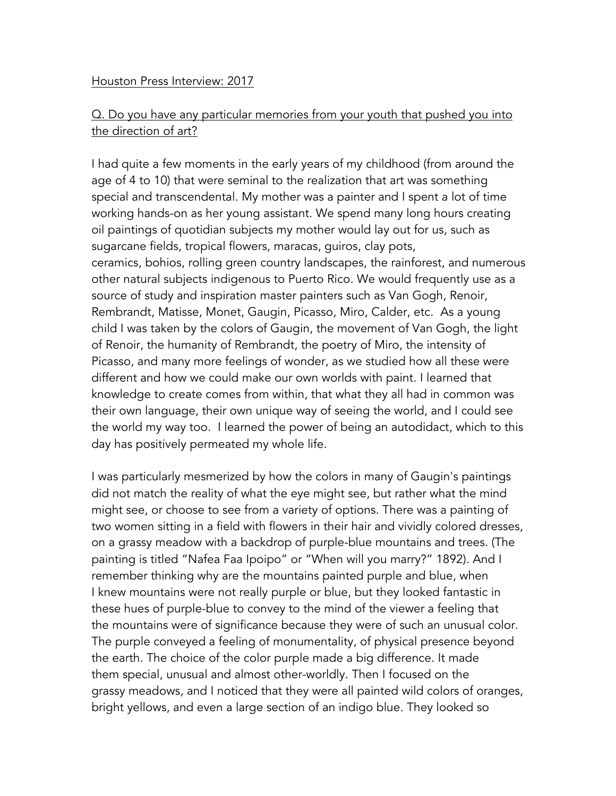#### Houston Press Interview: 2017

# Q. Do you have any particular memories from your youth that pushed you into the direction of art?

I had quite a few moments in the early years of my childhood (from around the age of 4 to 10) that were seminal to the realization that art was something special and transcendental. My mother was a painter and I spent a lot of time working hands-on as her young assistant. We spend many long hours creating oil paintings of quotidian subjects my mother would lay out for us, such as sugarcane fields, tropical flowers, maracas, guiros, clay pots, ceramics, bohios, rolling green country landscapes, the rainforest, and numerous other natural subjects indigenous to Puerto Rico. We would frequently use as a source of study and inspiration master painters such as Van Gogh, Renoir, Rembrandt, Matisse, Monet, Gaugin, Picasso, Miro, Calder, etc. As a young child I was taken by the colors of Gaugin, the movement of Van Gogh, the light of Renoir, the humanity of Rembrandt, the poetry of Miro, the intensity of Picasso, and many more feelings of wonder, as we studied how all these were different and how we could make our own worlds with paint. I learned that knowledge to create comes from within, that what they all had in common was their own language, their own unique way of seeing the world, and I could see the world my way too. I learned the power of being an autodidact, which to this day has positively permeated my whole life.

I was particularly mesmerized by how the colors in many of Gaugin's paintings did not match the reality of what the eye might see, but rather what the mind might see, or choose to see from a variety of options. There was a painting of two women sitting in a field with flowers in their hair and vividly colored dresses, on a grassy meadow with a backdrop of purple-blue mountains and trees. (The painting is titled "Nafea Faa Ipoipo" or "When will you marry?" 1892). And I remember thinking why are the mountains painted purple and blue, when I knew mountains were not really purple or blue, but they looked fantastic in these hues of purple-blue to convey to the mind of the viewer a feeling that the mountains were of significance because they were of such an unusual color. The purple conveyed a feeling of monumentality, of physical presence beyond the earth. The choice of the color purple made a big difference. It made them special, unusual and almost other-worldly. Then I focused on the grassy meadows, and I noticed that they were all painted wild colors of oranges, bright yellows, and even a large section of an indigo blue. They looked so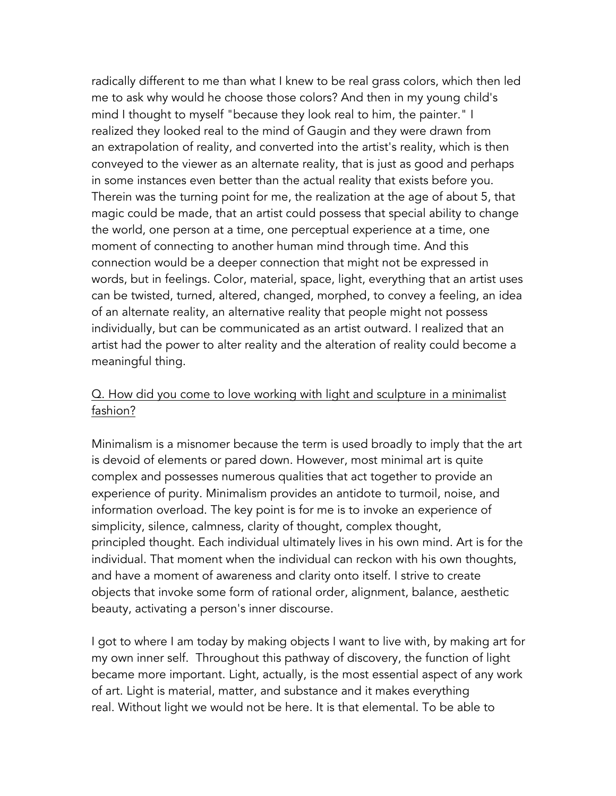radically different to me than what I knew to be real grass colors, which then led me to ask why would he choose those colors? And then in my young child's mind I thought to myself "because they look real to him, the painter." I realized they looked real to the mind of Gaugin and they were drawn from an extrapolation of reality, and converted into the artist's reality, which is then conveyed to the viewer as an alternate reality, that is just as good and perhaps in some instances even better than the actual reality that exists before you. Therein was the turning point for me, the realization at the age of about 5, that magic could be made, that an artist could possess that special ability to change the world, one person at a time, one perceptual experience at a time, one moment of connecting to another human mind through time. And this connection would be a deeper connection that might not be expressed in words, but in feelings. Color, material, space, light, everything that an artist uses can be twisted, turned, altered, changed, morphed, to convey a feeling, an idea of an alternate reality, an alternative reality that people might not possess individually, but can be communicated as an artist outward. I realized that an artist had the power to alter reality and the alteration of reality could become a meaningful thing.

#### Q. How did you come to love working with light and sculpture in a minimalist fashion?

Minimalism is a misnomer because the term is used broadly to imply that the art is devoid of elements or pared down. However, most minimal art is quite complex and possesses numerous qualities that act together to provide an experience of purity. Minimalism provides an antidote to turmoil, noise, and information overload. The key point is for me is to invoke an experience of simplicity, silence, calmness, clarity of thought, complex thought, principled thought. Each individual ultimately lives in his own mind. Art is for the individual. That moment when the individual can reckon with his own thoughts, and have a moment of awareness and clarity onto itself. I strive to create objects that invoke some form of rational order, alignment, balance, aesthetic beauty, activating a person's inner discourse.

I got to where I am today by making objects I want to live with, by making art for my own inner self. Throughout this pathway of discovery, the function of light became more important. Light, actually, is the most essential aspect of any work of art. Light is material, matter, and substance and it makes everything real. Without light we would not be here. It is that elemental. To be able to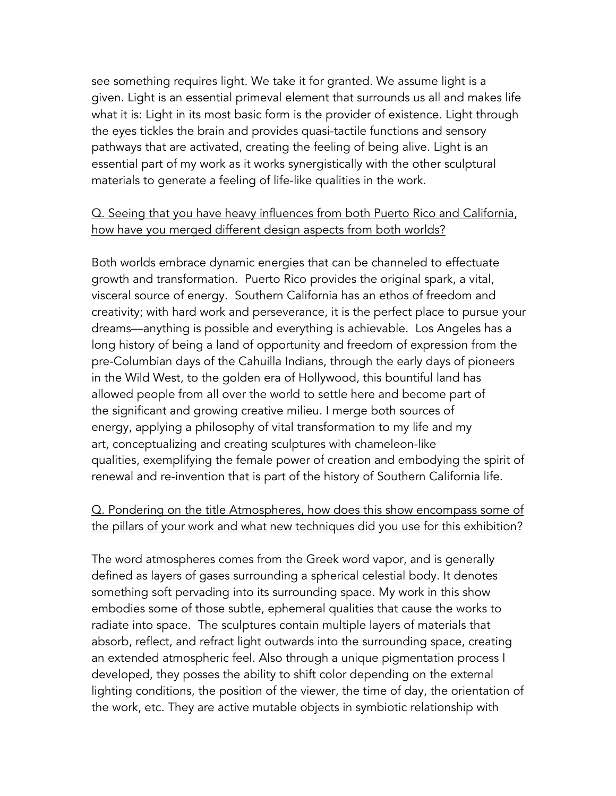see something requires light. We take it for granted. We assume light is a given. Light is an essential primeval element that surrounds us all and makes life what it is: Light in its most basic form is the provider of existence. Light through the eyes tickles the brain and provides quasi-tactile functions and sensory pathways that are activated, creating the feeling of being alive. Light is an essential part of my work as it works synergistically with the other sculptural materials to generate a feeling of life-like qualities in the work.

### Q. Seeing that you have heavy influences from both Puerto Rico and California, how have you merged different design aspects from both worlds?

Both worlds embrace dynamic energies that can be channeled to effectuate growth and transformation. Puerto Rico provides the original spark, a vital, visceral source of energy. Southern California has an ethos of freedom and creativity; with hard work and perseverance, it is the perfect place to pursue your dreams—anything is possible and everything is achievable. Los Angeles has a long history of being a land of opportunity and freedom of expression from the pre-Columbian days of the Cahuilla Indians, through the early days of pioneers in the Wild West, to the golden era of Hollywood, this bountiful land has allowed people from all over the world to settle here and become part of the significant and growing creative milieu. I merge both sources of energy, applying a philosophy of vital transformation to my life and my art, conceptualizing and creating sculptures with chameleon-like qualities, exemplifying the female power of creation and embodying the spirit of renewal and re-invention that is part of the history of Southern California life.

### Q. Pondering on the title Atmospheres, how does this show encompass some of the pillars of your work and what new techniques did you use for this exhibition?

The word atmospheres comes from the Greek word vapor, and is generally defined as layers of gases surrounding a spherical celestial body. It denotes something soft pervading into its surrounding space. My work in this show embodies some of those subtle, ephemeral qualities that cause the works to radiate into space. The sculptures contain multiple layers of materials that absorb, reflect, and refract light outwards into the surrounding space, creating an extended atmospheric feel. Also through a unique pigmentation process I developed, they posses the ability to shift color depending on the external lighting conditions, the position of the viewer, the time of day, the orientation of the work, etc. They are active mutable objects in symbiotic relationship with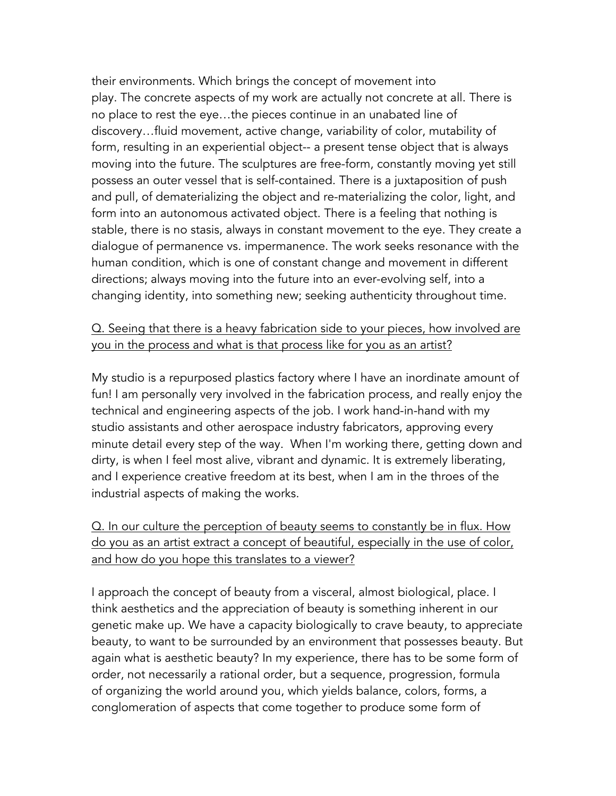their environments. Which brings the concept of movement into play. The concrete aspects of my work are actually not concrete at all. There is no place to rest the eye…the pieces continue in an unabated line of discovery…fluid movement, active change, variability of color, mutability of form, resulting in an experiential object-- a present tense object that is always moving into the future. The sculptures are free-form, constantly moving yet still possess an outer vessel that is self-contained. There is a juxtaposition of push and pull, of dematerializing the object and re-materializing the color, light, and form into an autonomous activated object. There is a feeling that nothing is stable, there is no stasis, always in constant movement to the eye. They create a dialogue of permanence vs. impermanence. The work seeks resonance with the human condition, which is one of constant change and movement in different directions; always moving into the future into an ever-evolving self, into a changing identity, into something new; seeking authenticity throughout time.

## Q. Seeing that there is a heavy fabrication side to your pieces, how involved are you in the process and what is that process like for you as an artist?

My studio is a repurposed plastics factory where I have an inordinate amount of fun! I am personally very involved in the fabrication process, and really enjoy the technical and engineering aspects of the job. I work hand-in-hand with my studio assistants and other aerospace industry fabricators, approving every minute detail every step of the way. When I'm working there, getting down and dirty, is when I feel most alive, vibrant and dynamic. It is extremely liberating, and I experience creative freedom at its best, when I am in the throes of the industrial aspects of making the works.

Q. In our culture the perception of beauty seems to constantly be in flux. How do you as an artist extract a concept of beautiful, especially in the use of color, and how do you hope this translates to a viewer?

I approach the concept of beauty from a visceral, almost biological, place. I think aesthetics and the appreciation of beauty is something inherent in our genetic make up. We have a capacity biologically to crave beauty, to appreciate beauty, to want to be surrounded by an environment that possesses beauty. But again what is aesthetic beauty? In my experience, there has to be some form of order, not necessarily a rational order, but a sequence, progression, formula of organizing the world around you, which yields balance, colors, forms, a conglomeration of aspects that come together to produce some form of